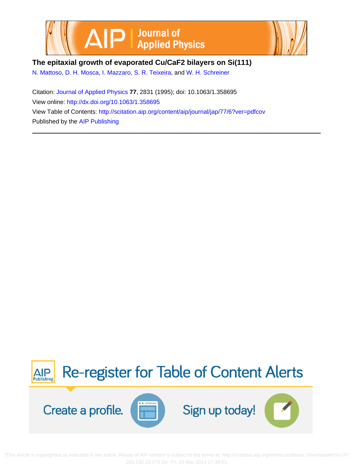



**The epitaxial growth of evaporated Cu/CaF2 bilayers on Si(111)**

[N. Mattoso](http://scitation.aip.org/search?value1=N.+Mattoso&option1=author), [D. H. Mosca,](http://scitation.aip.org/search?value1=D.+H.+Mosca&option1=author) [I. Mazzaro](http://scitation.aip.org/search?value1=I.+Mazzaro&option1=author), [S. R. Teixeira](http://scitation.aip.org/search?value1=S.+R.+Teixeira&option1=author), and [W. H. Schreiner](http://scitation.aip.org/search?value1=W.+H.+Schreiner&option1=author)

Citation: [Journal of Applied Physics](http://scitation.aip.org/content/aip/journal/jap?ver=pdfcov) **77**, 2831 (1995); doi: 10.1063/1.358695 View online: <http://dx.doi.org/10.1063/1.358695> View Table of Contents: <http://scitation.aip.org/content/aip/journal/jap/77/6?ver=pdfcov> Published by the [AIP Publishing](http://scitation.aip.org/content/aip?ver=pdfcov)



 [This a[rticle is copyrighted as indicated in the article. Reuse of AIP content is subject to the terms at: http://scitation.aip.org/termsconditions. Downlo](http://oasc12039.247realmedia.com/RealMedia/ads/click_lx.ads/www.aip.org/pt/adcenter/pdfcover_test/L-37/1479233748/x01/AIP-PT/JAP_Article_DL_0214/aipToCAlerts_Large.png/5532386d4f314a53757a6b4144615953?x)aded to ] IP: 200.130.19.173 On: Fri, 21 Mar 2014 17:39:53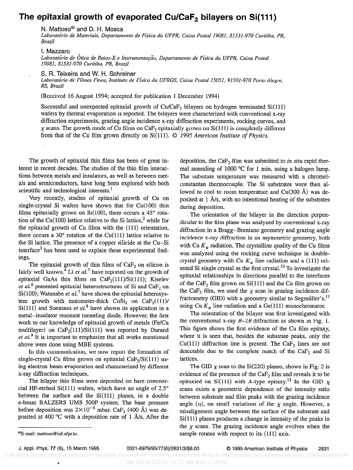## The epitaxial growth of evaporated Cu/CaF<sub>2</sub> bilayers on Si(111)

N. Mattoso<sup>a)</sup> and D. H. Mosca

Laboratório de Materiais, Departamento de Física da UFPR, Caixa Postal 19081, 81531-970 Curitiba, PR, Brazil

I. Mazzaro Laboratório de Ótica de Raios-X e Instrumentação, Departamento de Física da UFPR, Caixa Postal 19081, 81531-970 Curitiba, PR, Brazil

S. R. Teixeira and W. H. Schreiner

Laboratório de Filmes Finos, Instituto de Física da UFRGS, Caixa Postal 15051, 91501-970 Porto Alegre, RS, Brazil

(Received 16 August 1994; accepted for publication 1 December 1994)

Successful and unexpected epitaxial growth of  $Cu/CaF<sub>2</sub>$  bilayers on hydrogen terminated  $Si(111)$ wafers by thermal evaporation is reported. The bilayers were characterized with conventional x-ray diffraction experiments, grazing angle incidence x-ray diffraction experiments, rocking curves, and  $\chi$  scans. The growth mode of Cu films on CaF<sub>2</sub> epitaxially grown on Si(111) is completely different from that of the Cu film grown directly on  $Si(111)$ .  $© 1995$  American Institute of Physics.

The growth of epitaxial thin films has been of great interest in recent decades. The studies of the thin film interactions between metals and insulators, as well as between metals and semiconductors, have long been explored with both scientific and technological interests.<sup>1</sup>

Very recently, studies of epitaxial growth of Cu on single-crystal Si wafers have shown that for Cu(100) thin films epitaxially grown on Si(100), there occurs a  $45^{\circ}$  rotation of the Cu(100) lattice relative to the Si lattice,<sup>2</sup> while for the epitaxial growth of Cu films with the (111) orientation, there occurs a  $30^\circ$  rotation of the Cu(111) lattice relative to the Si lattice. The presence of a copper silicide at the Cu-Si interface<sup>3</sup> has been used to explain these experimental findings.

The epitaxial growth of thin films of  $CaF<sub>2</sub>$  on silicon is fairly well known.<sup>4</sup> Li et al.<sup>5</sup> have reported on the growth of epitaxial GaAs thin films on  $CaF<sub>2</sub>(111)/Si(111)$ ; Kiselev et al.<sup>6</sup> presented epitaxial heterostructures of Si and Ca $F_2$  on Si(100); Watanabe et al.<sup>7</sup> have shown the epitaxial heterosystem growth with nanometer-thick  $\text{CoSi}_2$  on  $\text{CaF}_2(111)$ /  $Si(111)$  and Suemasu *et al.*<sup>8</sup> have shown its application in a metal-insulator resonant tunneling diode. However, the first work to our knowledge of epitaxial growth of metals (Fe/Cu multilayer) on  $CaF<sub>2</sub>(111)/Si(111)$  was reported by Durand  $et al.<sup>9</sup>$  It is important to emphasize that all works mentioned above were done using MBE systems.

In this communication, we now report the formation of single-crystal Cu films grown on epitaxial CaF<sub>2</sub>/Si(111) using electron-beam evaporation and characterized by different x-ray diffraction techniques.

The bilayer thin films were deposited on bare commercial HF-etched Si(111) wafers, which have an angle of  $2.5^{\circ}$ between the surface and the  $Si(111)$  planes, in a double e-beam BALZERS UMS 500P system. The base pressure before deposition was  $2 \times 10^{-8}$  mbar. CaF<sub>2</sub> (400 Å) was deposited at 400 °C with a deposition rate of 1 Å/s. After the deposition, the Ca $F_2$  film was submitted to in situ rapid thermal annealing of 1000 °C for 1 min, using a halogen lamp. The substrate temperature was measured with a chromelconstantan thermocouple. The Si substrates were then allowed to cool to room temperature and  $Cu(300 \text{ Å})$  was deposited at 1 A/s, with no intentional heating of the substrates during deposition.

The orientation of the bilayer in the direction perpendicular to the film plane was analyzed by conventional x-ray diffraction in a Bragg-Brentano geometry and grazing angle incidence x-ray diffraction in an asymmetric geometry, both with Cu  $K_{\alpha}$  radiation. The crystalline quality of the Cu films was analyzed using the rocking curve technique in doublecrystal geometry with Cu  $K_{\alpha}$  line radiation and a (111) oriented Si single crystal as the first crystal.<sup>10</sup> To investigate the epitaxial relationships in directions parallel to the interfaces of the Ca $F_2$  film grown on Si(111) and the Cu film grown on the CaF<sub>2</sub> film, we used the  $\chi$  scan in grazing incidence diffractometry (GID) with a geometry similar to Segmüller's, $^{11}$ using Cu  $K_{\alpha}$  line radiation and a Ge(111) monochromator.

The orientation of the bilayer was first investigated with the conventional x-ray  $\theta$ -2 $\theta$  diffraction as shown in Fig. 1. This figure shows the first evidence of the Cu film epitaxy, where it is seen that, besides the substrate peaks, only the Cu(111) diffraction line is present. The Ca $F_2$  lines are not detectable due to the complete match of the  $CaF<sub>2</sub>$  and Si lattices.

The GID  $\chi$  scan to the Si(220) planes, shown in Fig. 2 is evidence of the presence of the Ca $F_2$  film and reveals it to be epitaxied on Si(111) with A-type epitaxy.<sup>12</sup> In the GID  $\chi$ scans exists a geometric dependence of the intensity ratio between substrate and film peaks with the grazing incidence angle  $(\alpha)$ , on small variations of the  $\chi$  angle. However, a misalignment angle between the surface of the substrate and  $Si(111)$  planes produces a change in intensity of the peaks in the  $\chi$  scans. The grazing incidence angle evolves when the sample rotates with respect to its  $\langle 111 \rangle$  axis.

<sup>&</sup>lt;sup>a)</sup>E-mail: mattoso@inf.ufpr.br.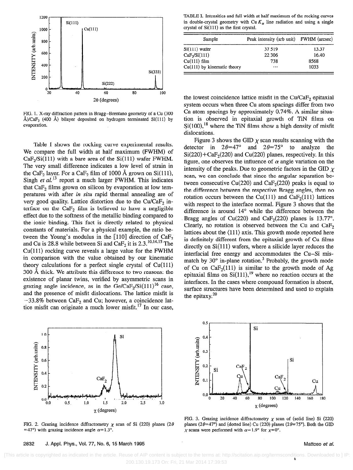

FIG. 1. X-ray diffraction pattern in Bragg-Brentano geometry of a Cu (300 Å)/CaF<sub>2</sub> (400 Å) bilayer deposited on hydrogen terminated Si(111) by evaporation.

Table I shows the rocking curve experimental results. We compare the full width at half maximum (FWHM) of  $CaF<sub>2</sub>/Si(111)$  with a bare area of the Si(111) wafer FWHM. The very small difference indicates a low level of strain in the CaF<sub>2</sub> layer. For a CaF<sub>2</sub> film of 1000 Å grown on Si(111), Singh et  $al$ <sup>13</sup> report a much larger FWHM. This indicates that CaF<sub>2</sub> films grown on silicon by evaporation at low temperatures with after in situ rapid thermal annealing are of very good quality. Lattice distortion due to the Cu/CaF<sub>2</sub> interface on the  $CaF<sub>2</sub>$  film is believed to have a negligible effect due to the softness of the metallic binding compared to the ionic binding. This fact is directly related to physical constants of materials. For a physical example, the ratio between the Young's modulus in the  $[110]$  direction of CaF<sub>2</sub> and Cu is 28.8 while between Si and Ca $F_2$  it is 2.3.<sup>10,14,15</sup> The  $Cu(111)$  rocking curve reveals a large value for the FWHM in comparison with the value obtained by our kinematic theory calculations for a perfect single crystal of  $Cu(111)$ 300 A thick. We attribute this difference to two reasons: the existence of planar twins, verified by asymmetric scans in grazing angle incidence, as in the Ge/CaF<sub>2</sub>/Si(111)<sup>16</sup> case, and the presence of misfit dislocations. The lattice misfit is  $-33.8\%$  between CaF<sub>2</sub> and Cu; however, a coincidence lattice misfit can originate a much lower misfit.<sup>17</sup> In our case,



FIG. 2. Grazing incidence diffractometry  $\chi$  scan of Si (220) planes (2 $\theta$ =47°) with grazing incidence angle  $\alpha$ =1.3°.

2832 J. Appl. Phys., Vol. 77, No. 6, 15 March 1995 Mattoso et al. Appl. 2832 J. Appl. Phys., Vol. 77, No. 6, 15 March 1995

TABLE I. Intensities and full width at half maximum of the rocking curves in double-crystal geometry with Cu  $K_{\alpha}$  line radiation and using a single crystal of Si(ll1) as the first crystal.

| Sample                        | Peak intensity (arb unit) FWHM (arcsec) |       |
|-------------------------------|-----------------------------------------|-------|
| Si(111) wafer                 | 37 519                                  | 13.37 |
| CaF <sub>2</sub> /Si(111)     | 22 3 06                                 | 16.40 |
| $Cu(111)$ film                | 738                                     | 8568  |
| $Cu(111)$ by kinematic theory | $\cdots$                                | 1033  |

the lowest coincidence lattice misfit in the  $Cu/CaF<sub>2</sub>$  epitaxial system occurs when three Cu atom spacings differ from two Ca atom spacings by approximately 0.74%. A similar situation is observed in epitaxial growth of TiN films on  $Si(100)$ ,<sup>18</sup> where the TiN films show a high density of misfit dislocations.

Figure 3 shows the GID  $\chi$  scan results scanning with the detector in  $2\theta = 47^{\circ}$  and  $2\theta = 75^{\circ}$  to analyze the  $Si(220) + CaF<sub>2</sub>(220)$  and Cu(220) planes, respectively. In this figure, one observes the influence of  $\alpha$  angle variation on the intensity of the peaks. Due to geometric factors in the GID  $\chi$ scan, we can conclude that since the angular separation between consecutive Cu(220) and CaF<sub>2</sub>(220) peaks is equal to the difference between the respective Bragg angles, then no rotation occurs between the Cu(111) and CaF<sub>2</sub>(111) lattices with respect to the interface normal. Figure 3 shows that the difference is around 14° while the difference between the Bragg angles of Cu(220) and CaF<sub>2</sub>(220) planes is 13.77°. Clearly, no rotation is observed between the Cu and CaF, lattices about the  $\langle 111 \rangle$  axis. This growth mode reported here is definitely different from the epitaxial growth of Cu films directly on  $Si(111)$  wafers, where a silicide layer reduces the interfacial free energy and accommodates the Cu-Si mismatch by  $30^\circ$  in-plane rotation.<sup>3</sup> Probably, the growth mode of Cu on  $CaF<sub>2</sub>(111)$  is similar to the growth mode of Ag epitaxial films on  $Si(111)$ ,<sup>19</sup> where no reaction occurs at the interfaces. In the cases where compound formation is absent, surface structures have been determined and used to explain the epitaxy. $20$ 



FIG. 3. Grazing incidence diffractometry  $\chi$  scan of (solid line) Si (220) planes ( $2\theta = 47^{\circ}$ ) and (dotted line) Cu (220) planes ( $2\theta = 75^{\circ}$ ). Both the GID  $\chi$  scans were performed with  $\alpha = 1.9^{\circ}$  for  $\chi = 0^{\circ}$ .

b [This article is copyrighted as indicated in the article. Reuse of AIP content is subject to the terms at: http://scitation.aip.org/termsconditions. Downloaded to ] IP: 200.130.19.173 On: Fri, 21 Mar 2014 17:39:53